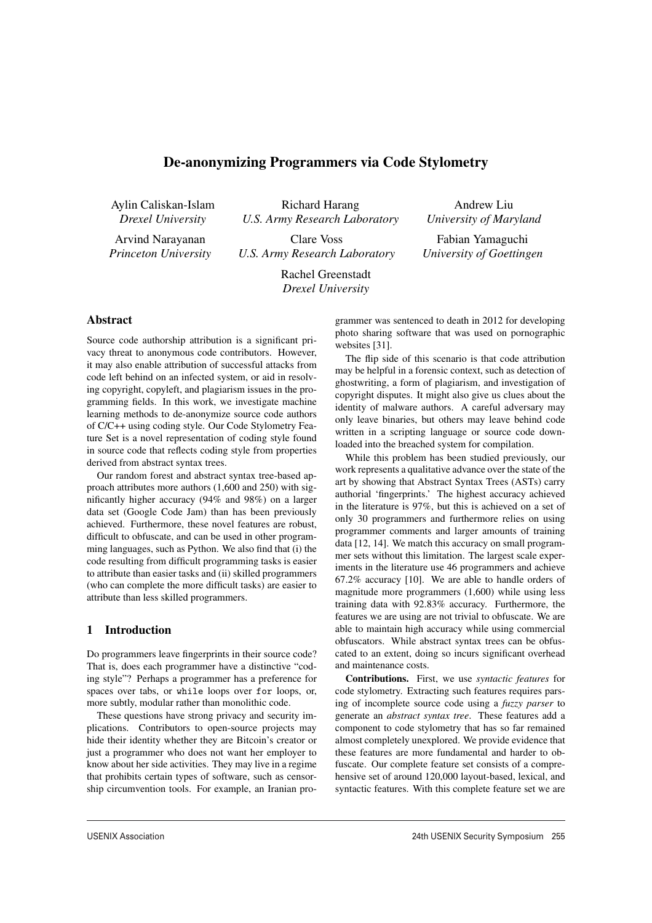# De-anonymizing Programmers via Code Stylometry

Aylin Caliskan-Islam *Drexel University*

Arvind Narayanan *Princeton University*

Richard Harang *U.S. Army Research Laboratory* Clare Voss

*U.S. Army Research Laboratory*

*University of Maryland* Fabian Yamaguchi

Andrew Liu

*University of Goettingen*

Rachel Greenstadt *Drexel University*

# **Abstract**

Source code authorship attribution is a significant privacy threat to anonymous code contributors. However, it may also enable attribution of successful attacks from code left behind on an infected system, or aid in resolving copyright, copyleft, and plagiarism issues in the programming fields. In this work, we investigate machine learning methods to de-anonymize source code authors of C/C++ using coding style. Our Code Stylometry Feature Set is a novel representation of coding style found in source code that reflects coding style from properties derived from abstract syntax trees.

Our random forest and abstract syntax tree-based approach attributes more authors (1,600 and 250) with significantly higher accuracy (94% and 98%) on a larger data set (Google Code Jam) than has been previously achieved. Furthermore, these novel features are robust, difficult to obfuscate, and can be used in other programming languages, such as Python. We also find that (i) the code resulting from difficult programming tasks is easier to attribute than easier tasks and (ii) skilled programmers (who can complete the more difficult tasks) are easier to attribute than less skilled programmers.

# 1 Introduction

Do programmers leave fingerprints in their source code? That is, does each programmer have a distinctive "coding style"? Perhaps a programmer has a preference for spaces over tabs, or while loops over for loops, or, more subtly, modular rather than monolithic code.

These questions have strong privacy and security implications. Contributors to open-source projects may hide their identity whether they are Bitcoin's creator or just a programmer who does not want her employer to know about her side activities. They may live in a regime that prohibits certain types of software, such as censorship circumvention tools. For example, an Iranian programmer was sentenced to death in 2012 for developing photo sharing software that was used on pornographic websites [31].

The flip side of this scenario is that code attribution may be helpful in a forensic context, such as detection of ghostwriting, a form of plagiarism, and investigation of copyright disputes. It might also give us clues about the identity of malware authors. A careful adversary may only leave binaries, but others may leave behind code written in a scripting language or source code downloaded into the breached system for compilation.

While this problem has been studied previously, our work represents a qualitative advance over the state of the art by showing that Abstract Syntax Trees (ASTs) carry authorial 'fingerprints.' The highest accuracy achieved in the literature is 97%, but this is achieved on a set of only 30 programmers and furthermore relies on using programmer comments and larger amounts of training data [12, 14]. We match this accuracy on small programmer sets without this limitation. The largest scale experiments in the literature use 46 programmers and achieve 67.2% accuracy [10]. We are able to handle orders of magnitude more programmers (1,600) while using less training data with 92.83% accuracy. Furthermore, the features we are using are not trivial to obfuscate. We are able to maintain high accuracy while using commercial obfuscators. While abstract syntax trees can be obfuscated to an extent, doing so incurs significant overhead and maintenance costs.

Contributions. First, we use *syntactic features* for code stylometry. Extracting such features requires parsing of incomplete source code using a *fuzzy parser* to generate an *abstract syntax tree*. These features add a component to code stylometry that has so far remained almost completely unexplored. We provide evidence that these features are more fundamental and harder to obfuscate. Our complete feature set consists of a comprehensive set of around 120,000 layout-based, lexical, and syntactic features. With this complete feature set we are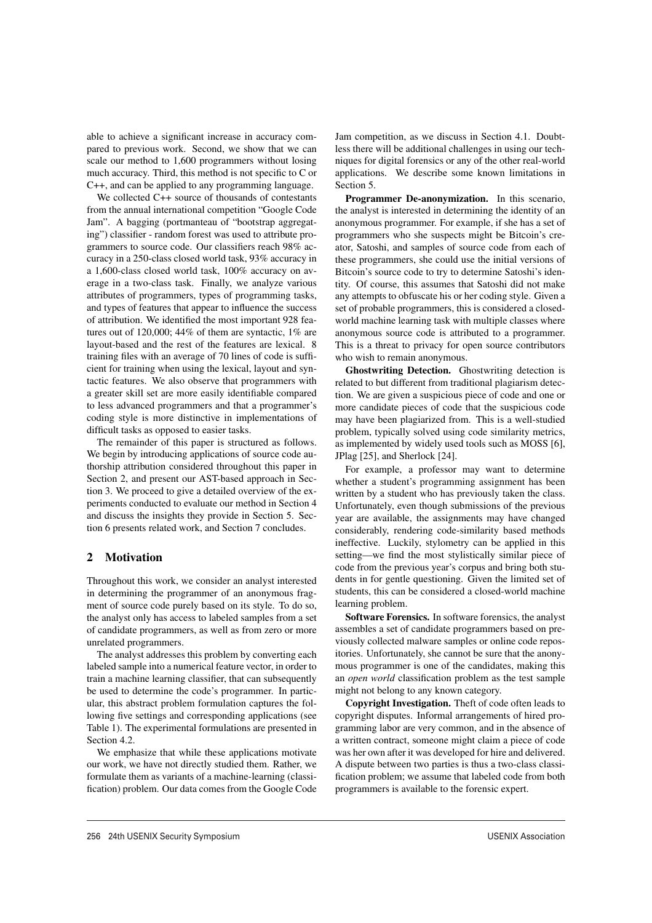able to achieve a significant increase in accuracy compared to previous work. Second, we show that we can scale our method to 1,600 programmers without losing much accuracy. Third, this method is not specific to C or C++, and can be applied to any programming language.

We collected C++ source of thousands of contestants from the annual international competition "Google Code Jam". A bagging (portmanteau of "bootstrap aggregating") classifier - random forest was used to attribute programmers to source code. Our classifiers reach 98% accuracy in a 250-class closed world task, 93% accuracy in a 1,600-class closed world task, 100% accuracy on average in a two-class task. Finally, we analyze various attributes of programmers, types of programming tasks, and types of features that appear to influence the success of attribution. We identified the most important 928 features out of 120,000; 44% of them are syntactic, 1% are layout-based and the rest of the features are lexical. 8 training files with an average of 70 lines of code is sufficient for training when using the lexical, layout and syntactic features. We also observe that programmers with a greater skill set are more easily identifiable compared to less advanced programmers and that a programmer's coding style is more distinctive in implementations of difficult tasks as opposed to easier tasks.

The remainder of this paper is structured as follows. We begin by introducing applications of source code authorship attribution considered throughout this paper in Section 2, and present our AST-based approach in Section 3. We proceed to give a detailed overview of the experiments conducted to evaluate our method in Section 4 and discuss the insights they provide in Section 5. Section 6 presents related work, and Section 7 concludes.

## 2 Motivation

Throughout this work, we consider an analyst interested in determining the programmer of an anonymous fragment of source code purely based on its style. To do so, the analyst only has access to labeled samples from a set of candidate programmers, as well as from zero or more unrelated programmers.

The analyst addresses this problem by converting each labeled sample into a numerical feature vector, in order to train a machine learning classifier, that can subsequently be used to determine the code's programmer. In particular, this abstract problem formulation captures the following five settings and corresponding applications (see Table 1). The experimental formulations are presented in Section 4.2.

We emphasize that while these applications motivate our work, we have not directly studied them. Rather, we formulate them as variants of a machine-learning (classification) problem. Our data comes from the Google Code

2

Jam competition, as we discuss in Section 4.1. Doubtless there will be additional challenges in using our techniques for digital forensics or any of the other real-world applications. We describe some known limitations in Section 5.

Programmer De-anonymization. In this scenario, the analyst is interested in determining the identity of an anonymous programmer. For example, if she has a set of programmers who she suspects might be Bitcoin's creator, Satoshi, and samples of source code from each of these programmers, she could use the initial versions of Bitcoin's source code to try to determine Satoshi's identity. Of course, this assumes that Satoshi did not make any attempts to obfuscate his or her coding style. Given a set of probable programmers, this is considered a closedworld machine learning task with multiple classes where anonymous source code is attributed to a programmer. This is a threat to privacy for open source contributors who wish to remain anonymous.

Ghostwriting Detection. Ghostwriting detection is related to but different from traditional plagiarism detection. We are given a suspicious piece of code and one or more candidate pieces of code that the suspicious code may have been plagiarized from. This is a well-studied problem, typically solved using code similarity metrics, as implemented by widely used tools such as MOSS [6], JPlag [25], and Sherlock [24].

For example, a professor may want to determine whether a student's programming assignment has been written by a student who has previously taken the class. Unfortunately, even though submissions of the previous year are available, the assignments may have changed considerably, rendering code-similarity based methods ineffective. Luckily, stylometry can be applied in this setting—we find the most stylistically similar piece of code from the previous year's corpus and bring both students in for gentle questioning. Given the limited set of students, this can be considered a closed-world machine learning problem.

Software Forensics. In software forensics, the analyst assembles a set of candidate programmers based on previously collected malware samples or online code repositories. Unfortunately, she cannot be sure that the anonymous programmer is one of the candidates, making this an *open world* classification problem as the test sample might not belong to any known category.

Copyright Investigation. Theft of code often leads to copyright disputes. Informal arrangements of hired programming labor are very common, and in the absence of a written contract, someone might claim a piece of code was her own after it was developed for hire and delivered. A dispute between two parties is thus a two-class classification problem; we assume that labeled code from both programmers is available to the forensic expert.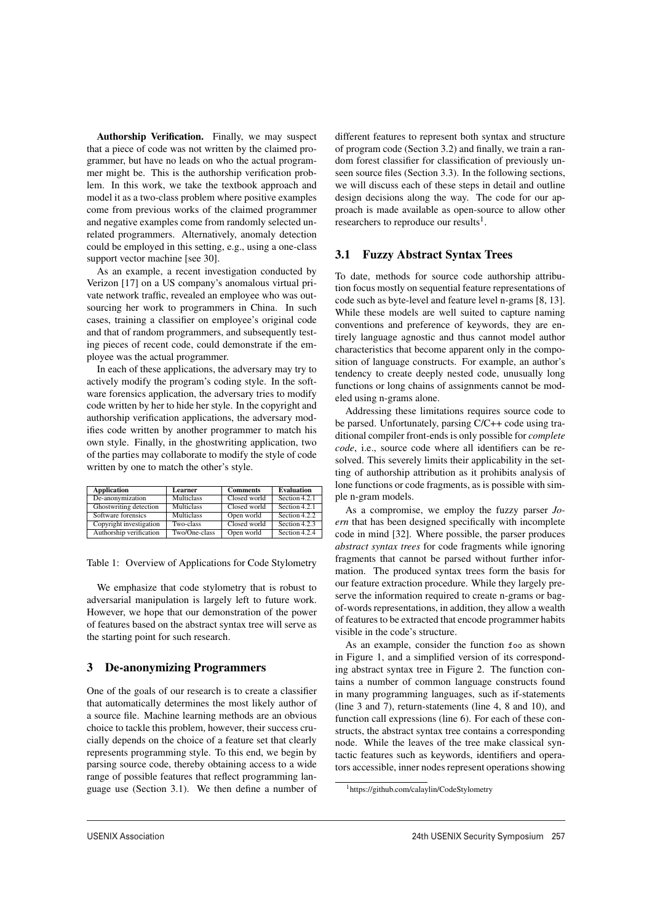Authorship Verification. Finally, we may suspect that a piece of code was not written by the claimed programmer, but have no leads on who the actual programmer might be. This is the authorship verification problem. In this work, we take the textbook approach and model it as a two-class problem where positive examples come from previous works of the claimed programmer and negative examples come from randomly selected unrelated programmers. Alternatively, anomaly detection could be employed in this setting, e.g., using a one-class support vector machine [see 30].

As an example, a recent investigation conducted by Verizon [17] on a US company's anomalous virtual private network traffic, revealed an employee who was outsourcing her work to programmers in China. In such cases, training a classifier on employee's original code and that of random programmers, and subsequently testing pieces of recent code, could demonstrate if the employee was the actual programmer.

In each of these applications, the adversary may try to actively modify the program's coding style. In the software forensics application, the adversary tries to modify code written by her to hide her style. In the copyright and authorship verification applications, the adversary modifies code written by another programmer to match his own style. Finally, in the ghostwriting application, two of the parties may collaborate to modify the style of code written by one to match the other's style.

| <b>Application</b>      | Learner           | <b>Comments</b> | <b>Evaluation</b> |
|-------------------------|-------------------|-----------------|-------------------|
| De-anonymization        | Multiclass        | Closed world    | Section 4.2.1     |
| Ghostwriting detection  | <b>Multiclass</b> | Closed world    | Section 4.2.1     |
| Software forensics      | <b>Multiclass</b> | Open world      | Section 4.2.2     |
| Copyright investigation | Two-class         | Closed world    | Section 4.2.3     |
| Authorship verification | Two/One-class     | Open world      | Section 4.2.4     |

Table 1: Overview of Applications for Code Stylometry

We emphasize that code stylometry that is robust to adversarial manipulation is largely left to future work. However, we hope that our demonstration of the power of features based on the abstract syntax tree will serve as the starting point for such research.

# 3 De-anonymizing Programmers

One of the goals of our research is to create a classifier that automatically determines the most likely author of a source file. Machine learning methods are an obvious choice to tackle this problem, however, their success crucially depends on the choice of a feature set that clearly represents programming style. To this end, we begin by parsing source code, thereby obtaining access to a wide range of possible features that reflect programming language use (Section 3.1). We then define a number of different features to represent both syntax and structure of program code (Section 3.2) and finally, we train a random forest classifier for classification of previously unseen source files (Section 3.3). In the following sections, we will discuss each of these steps in detail and outline design decisions along the way. The code for our approach is made available as open-source to allow other researchers to reproduce our results<sup>1</sup>.

## 3.1 Fuzzy Abstract Syntax Trees

To date, methods for source code authorship attribution focus mostly on sequential feature representations of code such as byte-level and feature level n-grams [8, 13]. While these models are well suited to capture naming conventions and preference of keywords, they are entirely language agnostic and thus cannot model author characteristics that become apparent only in the composition of language constructs. For example, an author's tendency to create deeply nested code, unusually long functions or long chains of assignments cannot be modeled using n-grams alone.

Addressing these limitations requires source code to be parsed. Unfortunately, parsing C/C++ code using traditional compiler front-ends is only possible for *complete code*, i.e., source code where all identifiers can be resolved. This severely limits their applicability in the setting of authorship attribution as it prohibits analysis of lone functions or code fragments, as is possible with simple n-gram models.

As a compromise, we employ the fuzzy parser *Joern* that has been designed specifically with incomplete code in mind [32]. Where possible, the parser produces *abstract syntax trees* for code fragments while ignoring fragments that cannot be parsed without further information. The produced syntax trees form the basis for our feature extraction procedure. While they largely preserve the information required to create n-grams or bagof-words representations, in addition, they allow a wealth of features to be extracted that encode programmer habits visible in the code's structure.

As an example, consider the function foo as shown in Figure 1, and a simplified version of its corresponding abstract syntax tree in Figure 2. The function contains a number of common language constructs found in many programming languages, such as if-statements (line 3 and 7), return-statements (line 4, 8 and 10), and function call expressions (line 6). For each of these constructs, the abstract syntax tree contains a corresponding node. While the leaves of the tree make classical syntactic features such as keywords, identifiers and operators accessible, inner nodes represent operations showing

3

<sup>1</sup>https://github.com/calaylin/CodeStylometry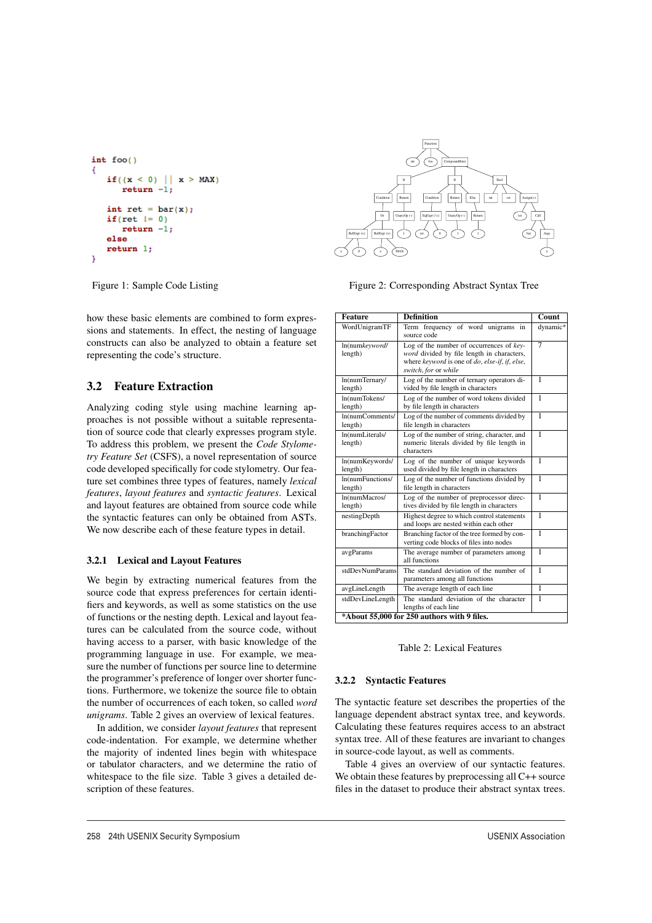```
int foo()4
   if((x < 0) || x > MAX)return -1:int ret = bar(x);if (ret != 0)return -1;else
   return 1:þ
```


Figure 2: Corresponding Abstract Syntax Tree

Figure 1: Sample Code Listing

how these basic elements are combined to form expressions and statements. In effect, the nesting of language constructs can also be analyzed to obtain a feature set representing the code's structure.

# 3.2 Feature Extraction

Analyzing coding style using machine learning approaches is not possible without a suitable representation of source code that clearly expresses program style. To address this problem, we present the *Code Stylometry Feature Set* (CSFS), a novel representation of source code developed specifically for code stylometry. Our feature set combines three types of features, namely *lexical features*, *layout features* and *syntactic features*. Lexical and layout features are obtained from source code while the syntactic features can only be obtained from ASTs. We now describe each of these feature types in detail.

# 3.2.1 Lexical and Layout Features

We begin by extracting numerical features from the source code that express preferences for certain identifiers and keywords, as well as some statistics on the use of functions or the nesting depth. Lexical and layout features can be calculated from the source code, without having access to a parser, with basic knowledge of the programming language in use. For example, we measure the number of functions per source line to determine the programmer's preference of longer over shorter functions. Furthermore, we tokenize the source file to obtain the number of occurrences of each token, so called *word unigrams*. Table 2 gives an overview of lexical features.

In addition, we consider *layout features* that represent code-indentation. For example, we determine whether the majority of indented lines begin with whitespace or tabulator characters, and we determine the ratio of whitespace to the file size. Table 3 gives a detailed description of these features.

| <b>Feature</b>                              | <b>Definition</b>                                                                                                                                                   | Count          |  |
|---------------------------------------------|---------------------------------------------------------------------------------------------------------------------------------------------------------------------|----------------|--|
| WordUnigramTF                               | Term frequency of word unigrams<br>in<br>source code                                                                                                                | dynamic*       |  |
| ln(numkeyword/<br>length)                   | Log of the number of occurrences of $key$ -<br>word divided by file length in characters,<br>where keyword is one of do, else-if, if, else,<br>switch, for or while | 7              |  |
| ln(numTernary/<br>length)                   | Log of the number of ternary operators di-<br>vided by file length in characters                                                                                    | 1              |  |
| ln(numTokens/<br>length)                    | Log of the number of word tokens divided<br>by file length in characters                                                                                            | 1              |  |
| ln(numComments/<br>length)                  | Log of the number of comments divided by<br>file length in characters                                                                                               | 1              |  |
| ln(numLiterals/<br>length)                  | Log of the number of string, character, and<br>numeric literals divided by file length in<br>characters                                                             | 1              |  |
| ln(numKeywords/<br>length)                  | Log of the number of unique keywords<br>used divided by file length in characters                                                                                   | 1              |  |
| In(numFunctions/<br>length)                 | Log of the number of functions divided by<br>file length in characters                                                                                              | $\overline{1}$ |  |
| ln(numMacros/<br>length)                    | Log of the number of preprocessor direc-<br>tives divided by file length in characters                                                                              | 1              |  |
| nestingDepth                                | Highest degree to which control statements<br>and loops are nested within each other                                                                                | 1              |  |
| branchingFactor                             | Branching factor of the tree formed by con-<br>verting code blocks of files into nodes                                                                              | 1              |  |
| avgParams                                   | The average number of parameters among<br>all functions                                                                                                             | 1              |  |
| stdDevNumParams                             | The standard deviation of the number of<br>parameters among all functions                                                                                           | 1              |  |
| avgLineLength                               | The average length of each line                                                                                                                                     | 1              |  |
| stdDevLineLength                            | The standard deviation of the character<br>lengths of each line                                                                                                     | 1              |  |
| *About 55,000 for 250 authors with 9 files. |                                                                                                                                                                     |                |  |

Table 2: Lexical Features

## 3.2.2 Syntactic Features

4

The syntactic feature set describes the properties of the language dependent abstract syntax tree, and keywords. Calculating these features requires access to an abstract syntax tree. All of these features are invariant to changes in source-code layout, as well as comments.

Table 4 gives an overview of our syntactic features. We obtain these features by preprocessing all C++ source files in the dataset to produce their abstract syntax trees.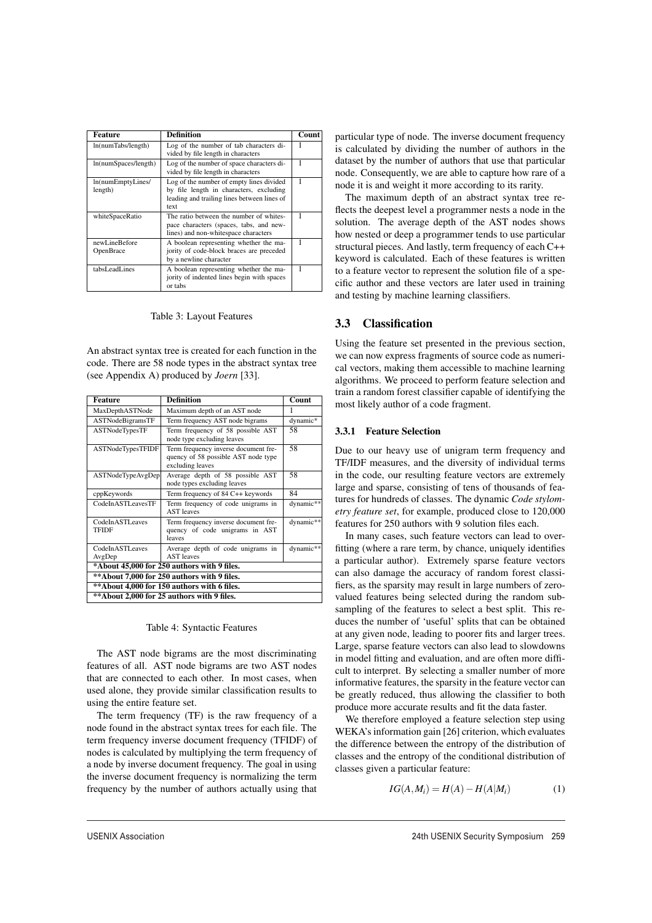| Feature                      | Definition                                                                                                                                 | Count |
|------------------------------|--------------------------------------------------------------------------------------------------------------------------------------------|-------|
| ln(numTabs/length)           | Log of the number of tab characters di-<br>vided by file length in characters                                                              |       |
| ln(numSpaces/length)         | Log of the number of space characters di-<br>vided by file length in characters                                                            | 1     |
| ln(numEmptyLines/<br>length) | Log of the number of empty lines divided<br>by file length in characters, excluding<br>leading and trailing lines between lines of<br>text | 1     |
| whiteSpaceRatio              | The ratio between the number of whites-<br>pace characters (spaces, tabs, and new-<br>lines) and non-whitespace characters                 | 1     |
| newLineBefore<br>OpenBrace   | A boolean representing whether the ma-<br>jority of code-block braces are preceded<br>by a newline character                               | 1     |
| tabsLeadLines                | A boolean representing whether the ma-<br>jority of indented lines begin with spaces<br>or tabs                                            |       |

#### Table 3: Layout Features

An abstract syntax tree is created for each function in the code. There are 58 node types in the abstract syntax tree (see Appendix A) produced by *Joern* [33].

| <b>Feature</b>                  | <b>Definition</b>                                                                               | Count     |
|---------------------------------|-------------------------------------------------------------------------------------------------|-----------|
| MaxDepthASTNode                 | Maximum depth of an AST node                                                                    | 1         |
| ASTNodeBigramsTF                | Term frequency AST node bigrams                                                                 | dynamic*  |
| ASTNodeTypesTF                  | Term frequency of 58 possible AST<br>node type excluding leaves                                 | 58        |
| ASTNodeTypesTFIDF               | Term frequency inverse document fre-<br>quency of 58 possible AST node type<br>excluding leaves | 58        |
| ASTNodeTypeAvgDep               | Average depth of 58 possible AST<br>node types excluding leaves                                 | 58        |
| cppKeywords                     | Term frequency of 84 C++ keywords                                                               | 84        |
| CodeInASTLeavesTF               | Term frequency of code unigrams in<br><b>AST</b> leaves                                         | dynamic** |
| CodeInASTLeaves<br><b>TFIDF</b> | Term frequency inverse document fre-<br>quency of code unigrams in AST<br>leaves                | dynamic** |
| CodeInASTLeaves<br>AvgDep       | Average depth of code unigrams in<br><b>AST</b> leaves                                          | dynamic** |
|                                 | *About 45,000 for 250 authors with 9 files.                                                     |           |
|                                 | ** About 7,000 for 250 authors with 9 files.                                                    |           |
|                                 | ** About 4,000 for 150 authors with 6 files.                                                    |           |
|                                 | ** About 2,000 for 25 authors with 9 files.                                                     |           |
|                                 |                                                                                                 |           |

#### Table 4: Syntactic Features

The AST node bigrams are the most discriminating features of all. AST node bigrams are two AST nodes that are connected to each other. In most cases, when used alone, they provide similar classification results to using the entire feature set.

The term frequency (TF) is the raw frequency of a node found in the abstract syntax trees for each file. The term frequency inverse document frequency (TFIDF) of nodes is calculated by multiplying the term frequency of a node by inverse document frequency. The goal in using the inverse document frequency is normalizing the term frequency by the number of authors actually using that

5

particular type of node. The inverse document frequency is calculated by dividing the number of authors in the dataset by the number of authors that use that particular node. Consequently, we are able to capture how rare of a node it is and weight it more according to its rarity.

The maximum depth of an abstract syntax tree reflects the deepest level a programmer nests a node in the solution. The average depth of the AST nodes shows how nested or deep a programmer tends to use particular structural pieces. And lastly, term frequency of each C++ keyword is calculated. Each of these features is written to a feature vector to represent the solution file of a specific author and these vectors are later used in training and testing by machine learning classifiers.

# 3.3 Classification

Using the feature set presented in the previous section, we can now express fragments of source code as numerical vectors, making them accessible to machine learning algorithms. We proceed to perform feature selection and train a random forest classifier capable of identifying the most likely author of a code fragment.

#### 3.3.1 Feature Selection

Due to our heavy use of unigram term frequency and TF/IDF measures, and the diversity of individual terms in the code, our resulting feature vectors are extremely large and sparse, consisting of tens of thousands of features for hundreds of classes. The dynamic *Code stylometry feature set*, for example, produced close to 120,000 features for 250 authors with 9 solution files each.

In many cases, such feature vectors can lead to overfitting (where a rare term, by chance, uniquely identifies a particular author). Extremely sparse feature vectors can also damage the accuracy of random forest classifiers, as the sparsity may result in large numbers of zerovalued features being selected during the random subsampling of the features to select a best split. This reduces the number of 'useful' splits that can be obtained at any given node, leading to poorer fits and larger trees. Large, sparse feature vectors can also lead to slowdowns in model fitting and evaluation, and are often more difficult to interpret. By selecting a smaller number of more informative features, the sparsity in the feature vector can be greatly reduced, thus allowing the classifier to both produce more accurate results and fit the data faster.

We therefore employed a feature selection step using WEKA's information gain [26] criterion, which evaluates the difference between the entropy of the distribution of classes and the entropy of the conditional distribution of classes given a particular feature:

$$
IG(A, M_i) = H(A) - H(A|M_i)
$$
 (1)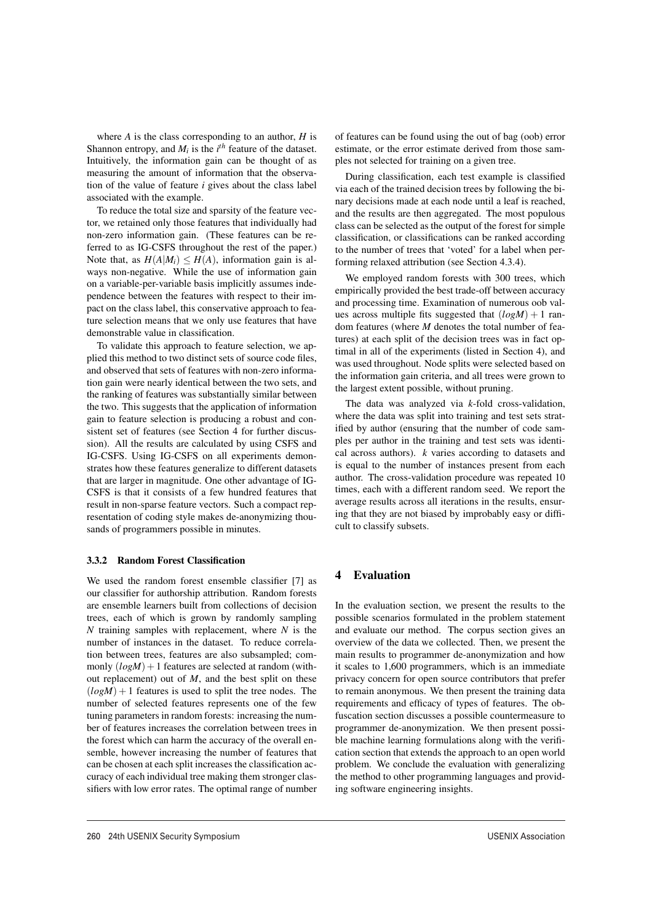where *A* is the class corresponding to an author, *H* is Shannon entropy, and  $M_i$  is the  $i^{th}$  feature of the dataset. Intuitively, the information gain can be thought of as measuring the amount of information that the observation of the value of feature *i* gives about the class label associated with the example.

To reduce the total size and sparsity of the feature vector, we retained only those features that individually had non-zero information gain. (These features can be referred to as IG-CSFS throughout the rest of the paper.) Note that, as  $H(A|M_i) \leq H(A)$ , information gain is always non-negative. While the use of information gain on a variable-per-variable basis implicitly assumes independence between the features with respect to their impact on the class label, this conservative approach to feature selection means that we only use features that have demonstrable value in classification.

To validate this approach to feature selection, we applied this method to two distinct sets of source code files, and observed that sets of features with non-zero information gain were nearly identical between the two sets, and the ranking of features was substantially similar between the two. This suggests that the application of information gain to feature selection is producing a robust and consistent set of features (see Section 4 for further discussion). All the results are calculated by using CSFS and IG-CSFS. Using IG-CSFS on all experiments demonstrates how these features generalize to different datasets that are larger in magnitude. One other advantage of IG-CSFS is that it consists of a few hundred features that result in non-sparse feature vectors. Such a compact representation of coding style makes de-anonymizing thousands of programmers possible in minutes.

#### 3.3.2 Random Forest Classification

We used the random forest ensemble classifier [7] as our classifier for authorship attribution. Random forests are ensemble learners built from collections of decision trees, each of which is grown by randomly sampling *N* training samples with replacement, where *N* is the number of instances in the dataset. To reduce correlation between trees, features are also subsampled; commonly  $(logM) + 1$  features are selected at random (without replacement) out of *M*, and the best split on these  $(logM) + 1$  features is used to split the tree nodes. The number of selected features represents one of the few tuning parameters in random forests: increasing the number of features increases the correlation between trees in the forest which can harm the accuracy of the overall ensemble, however increasing the number of features that can be chosen at each split increases the classification accuracy of each individual tree making them stronger classifiers with low error rates. The optimal range of number of features can be found using the out of bag (oob) error estimate, or the error estimate derived from those samples not selected for training on a given tree.

During classification, each test example is classified via each of the trained decision trees by following the binary decisions made at each node until a leaf is reached, and the results are then aggregated. The most populous class can be selected as the output of the forest for simple classification, or classifications can be ranked according to the number of trees that 'voted' for a label when performing relaxed attribution (see Section 4.3.4).

We employed random forests with 300 trees, which empirically provided the best trade-off between accuracy and processing time. Examination of numerous oob values across multiple fits suggested that  $(log M) + 1$  random features (where *M* denotes the total number of features) at each split of the decision trees was in fact optimal in all of the experiments (listed in Section 4), and was used throughout. Node splits were selected based on the information gain criteria, and all trees were grown to the largest extent possible, without pruning.

The data was analyzed via *k*-fold cross-validation, where the data was split into training and test sets stratified by author (ensuring that the number of code samples per author in the training and test sets was identical across authors). *k* varies according to datasets and is equal to the number of instances present from each author. The cross-validation procedure was repeated 10 times, each with a different random seed. We report the average results across all iterations in the results, ensuring that they are not biased by improbably easy or difficult to classify subsets.

# 4 Evaluation

6

In the evaluation section, we present the results to the possible scenarios formulated in the problem statement and evaluate our method. The corpus section gives an overview of the data we collected. Then, we present the main results to programmer de-anonymization and how it scales to 1,600 programmers, which is an immediate privacy concern for open source contributors that prefer to remain anonymous. We then present the training data requirements and efficacy of types of features. The obfuscation section discusses a possible countermeasure to programmer de-anonymization. We then present possible machine learning formulations along with the verification section that extends the approach to an open world problem. We conclude the evaluation with generalizing the method to other programming languages and providing software engineering insights.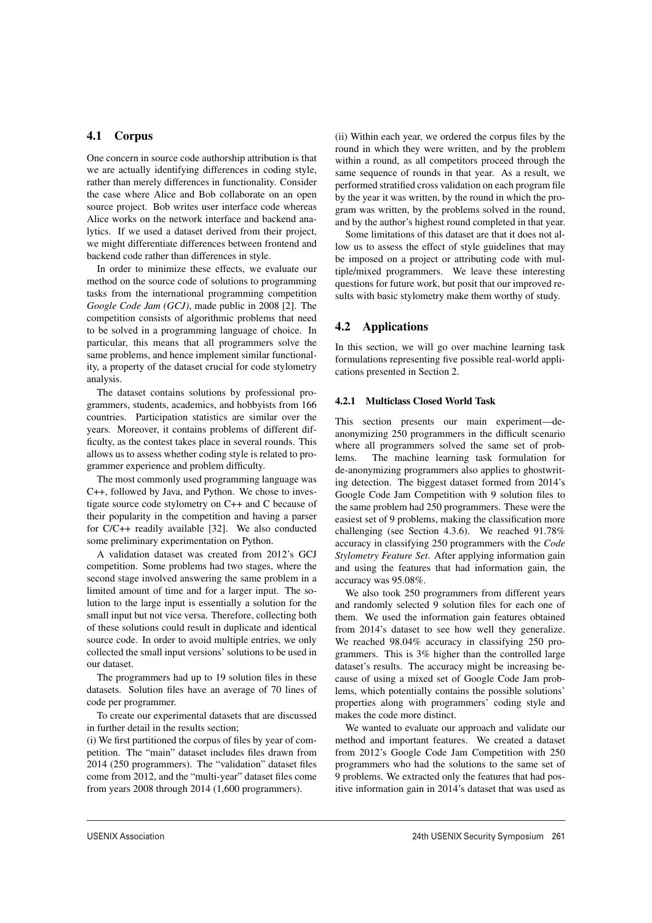# 4.1 Corpus

One concern in source code authorship attribution is that we are actually identifying differences in coding style, rather than merely differences in functionality. Consider the case where Alice and Bob collaborate on an open source project. Bob writes user interface code whereas Alice works on the network interface and backend analytics. If we used a dataset derived from their project, we might differentiate differences between frontend and backend code rather than differences in style.

In order to minimize these effects, we evaluate our method on the source code of solutions to programming tasks from the international programming competition *Google Code Jam (GCJ)*, made public in 2008 [2]. The competition consists of algorithmic problems that need to be solved in a programming language of choice. In particular, this means that all programmers solve the same problems, and hence implement similar functionality, a property of the dataset crucial for code stylometry analysis.

The dataset contains solutions by professional programmers, students, academics, and hobbyists from 166 countries. Participation statistics are similar over the years. Moreover, it contains problems of different difficulty, as the contest takes place in several rounds. This allows us to assess whether coding style is related to programmer experience and problem difficulty.

The most commonly used programming language was C++, followed by Java, and Python. We chose to investigate source code stylometry on C++ and C because of their popularity in the competition and having a parser for C/C++ readily available [32]. We also conducted some preliminary experimentation on Python.

A validation dataset was created from 2012's GCJ competition. Some problems had two stages, where the second stage involved answering the same problem in a limited amount of time and for a larger input. The solution to the large input is essentially a solution for the small input but not vice versa. Therefore, collecting both of these solutions could result in duplicate and identical source code. In order to avoid multiple entries, we only collected the small input versions' solutions to be used in our dataset.

The programmers had up to 19 solution files in these datasets. Solution files have an average of 70 lines of code per programmer.

To create our experimental datasets that are discussed in further detail in the results section;

(i) We first partitioned the corpus of files by year of competition. The "main" dataset includes files drawn from 2014 (250 programmers). The "validation" dataset files come from 2012, and the "multi-year" dataset files come from years 2008 through 2014 (1,600 programmers).

7

(ii) Within each year, we ordered the corpus files by the round in which they were written, and by the problem within a round, as all competitors proceed through the same sequence of rounds in that year. As a result, we performed stratified cross validation on each program file by the year it was written, by the round in which the program was written, by the problems solved in the round, and by the author's highest round completed in that year.

Some limitations of this dataset are that it does not allow us to assess the effect of style guidelines that may be imposed on a project or attributing code with multiple/mixed programmers. We leave these interesting questions for future work, but posit that our improved results with basic stylometry make them worthy of study.

## 4.2 Applications

In this section, we will go over machine learning task formulations representing five possible real-world applications presented in Section 2.

# 4.2.1 Multiclass Closed World Task

This section presents our main experiment—deanonymizing 250 programmers in the difficult scenario where all programmers solved the same set of problems. The machine learning task formulation for de-anonymizing programmers also applies to ghostwriting detection. The biggest dataset formed from 2014's Google Code Jam Competition with 9 solution files to the same problem had 250 programmers. These were the easiest set of 9 problems, making the classification more challenging (see Section 4.3.6). We reached 91.78% accuracy in classifying 250 programmers with the *Code Stylometry Feature Set*. After applying information gain and using the features that had information gain, the accuracy was 95.08%.

We also took 250 programmers from different years and randomly selected 9 solution files for each one of them. We used the information gain features obtained from 2014's dataset to see how well they generalize. We reached 98.04% accuracy in classifying 250 programmers. This is 3% higher than the controlled large dataset's results. The accuracy might be increasing because of using a mixed set of Google Code Jam problems, which potentially contains the possible solutions' properties along with programmers' coding style and makes the code more distinct.

We wanted to evaluate our approach and validate our method and important features. We created a dataset from 2012's Google Code Jam Competition with 250 programmers who had the solutions to the same set of 9 problems. We extracted only the features that had positive information gain in 2014's dataset that was used as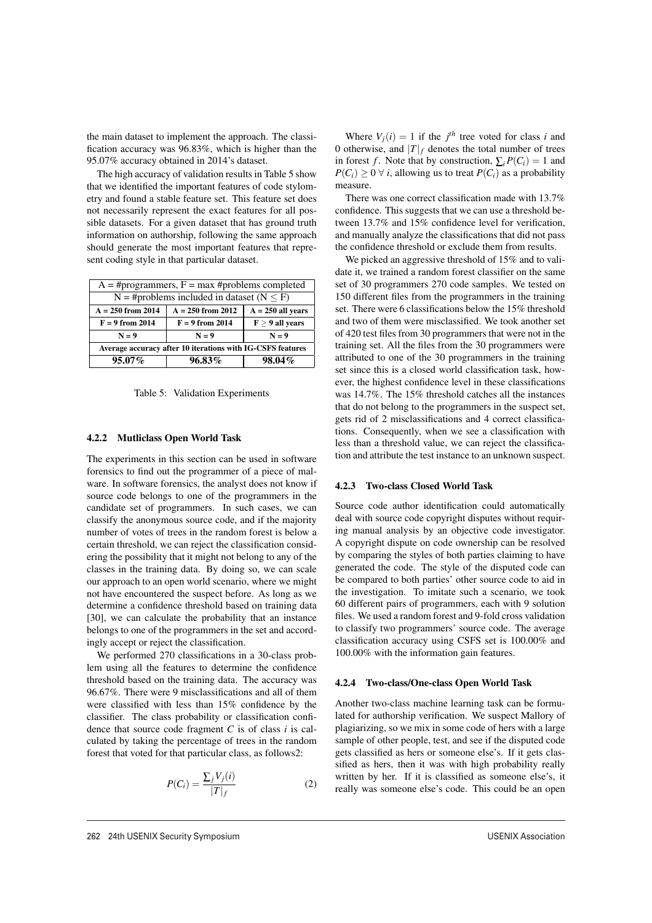the main dataset to implement the approach. The classification accuracy was 96.83%, which is higher than the 95.07% accuracy obtained in 2014's dataset.

The high accuracy of validation results in Table 5 show that we identified the important features of code stylometry and found a stable feature set. This feature set does not necessarily represent the exact features for all possible datasets. For a given dataset that has ground truth information on authorship, following the same approach should generate the most important features that represent coding style in that particular dataset.

| $A = \# programmers, F = max \#problems completed$         |                                                  |                     |  |  |
|------------------------------------------------------------|--------------------------------------------------|---------------------|--|--|
|                                                            | N = #problems included in dataset ( $N \leq F$ ) |                     |  |  |
| $A = 250$ from 2014                                        | $A = 250$ from 2012                              | $A = 250$ all vears |  |  |
| $F = 9$ from 2014                                          | $F > 9$ all vears<br>$F = 9$ from 2014           |                     |  |  |
| $N = 9$                                                    | $N = 9$<br>$N = 9$                               |                     |  |  |
| Average accuracy after 10 iterations with IG-CSFS features |                                                  |                     |  |  |
| $95.07\%$<br>$96.83\%$<br>98.04%                           |                                                  |                     |  |  |

Table 5: Validation Experiments

### 4.2.2 Mutliclass Open World Task

The experiments in this section can be used in software forensics to find out the programmer of a piece of malware. In software forensics, the analyst does not know if source code belongs to one of the programmers in the candidate set of programmers. In such cases, we can classify the anonymous source code, and if the majority number of votes of trees in the random forest is below a certain threshold, we can reject the classification considering the possibility that it might not belong to any of the classes in the training data. By doing so, we can scale our approach to an open world scenario, where we might not have encountered the suspect before. As long as we determine a confidence threshold based on training data [30], we can calculate the probability that an instance belongs to one of the programmers in the set and accordingly accept or reject the classification.

We performed 270 classifications in a 30-class problem using all the features to determine the confidence threshold based on the training data. The accuracy was 96.67%. There were 9 misclassifications and all of them were classified with less than 15% confidence by the classifier. The class probability or classification confidence that source code fragment *C* is of class *i* is calculated by taking the percentage of trees in the random forest that voted for that particular class, as follows2:

$$
P(C_i) = \frac{\sum_j V_j(i)}{|T|_f} \tag{2}
$$

8

Where  $V_j(i) = 1$  if the  $j<sup>th</sup>$  tree voted for class *i* and 0 otherwise, and  $|T|_f$  denotes the total number of trees in forest *f*. Note that by construction,  $\sum_{i} P(C_i) = 1$  and *P*( $C_i$ ) ≥ 0  $\forall$  *i*, allowing us to treat *P*( $C_i$ ) as a probability measure.

There was one correct classification made with 13.7% confidence. This suggests that we can use a threshold between 13.7% and 15% confidence level for verification, and manually analyze the classifications that did not pass the confidence threshold or exclude them from results.

We picked an aggressive threshold of 15% and to validate it, we trained a random forest classifier on the same set of 30 programmers 270 code samples. We tested on 150 different files from the programmers in the training set. There were 6 classifications below the 15% threshold and two of them were misclassified. We took another set of 420 test files from 30 programmers that were not in the training set. All the files from the 30 programmers were attributed to one of the 30 programmers in the training set since this is a closed world classification task, however, the highest confidence level in these classifications was 14.7%. The 15% threshold catches all the instances that do not belong to the programmers in the suspect set, gets rid of 2 misclassifications and 4 correct classifications. Consequently, when we see a classification with less than a threshold value, we can reject the classification and attribute the test instance to an unknown suspect.

#### 4.2.3 Two-class Closed World Task

Source code author identification could automatically deal with source code copyright disputes without requiring manual analysis by an objective code investigator. A copyright dispute on code ownership can be resolved by comparing the styles of both parties claiming to have generated the code. The style of the disputed code can be compared to both parties' other source code to aid in the investigation. To imitate such a scenario, we took 60 different pairs of programmers, each with 9 solution files. We used a random forest and 9-fold cross validation to classify two programmers' source code. The average classification accuracy using CSFS set is 100.00% and 100.00% with the information gain features.

#### 4.2.4 Two-class/One-class Open World Task

Another two-class machine learning task can be formulated for authorship verification. We suspect Mallory of plagiarizing, so we mix in some code of hers with a large sample of other people, test, and see if the disputed code gets classified as hers or someone else's. If it gets classified as hers, then it was with high probability really written by her. If it is classified as someone else's, it really was someone else's code. This could be an open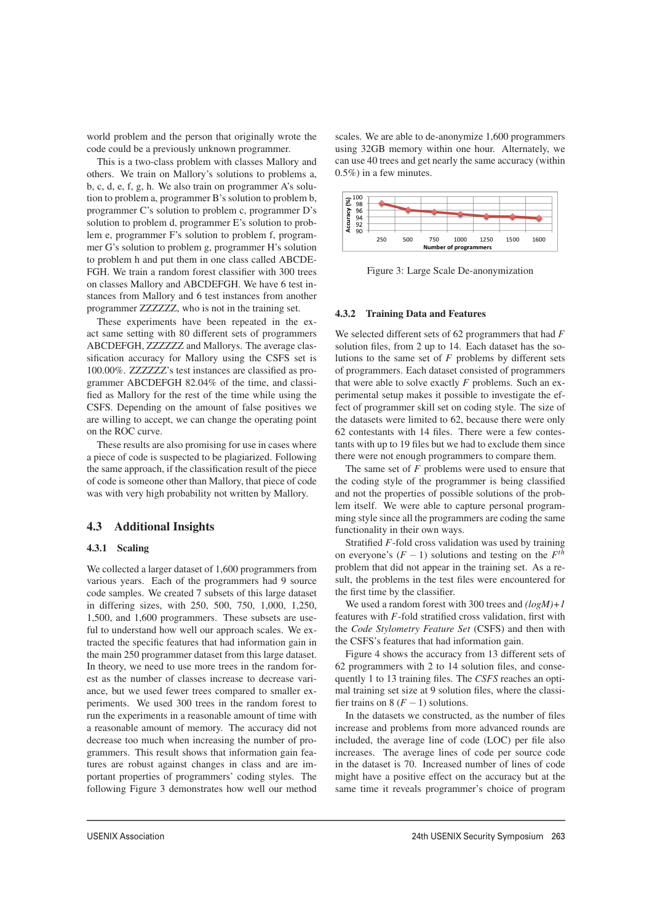world problem and the person that originally wrote the code could be a previously unknown programmer.

This is a two-class problem with classes Mallory and others. We train on Mallory's solutions to problems a, b, c, d, e, f, g, h. We also train on programmer A's solution to problem a, programmer B's solution to problem b, programmer C's solution to problem c, programmer D's solution to problem d, programmer E's solution to problem e, programmer F's solution to problem f, programmer G's solution to problem g, programmer H's solution to problem h and put them in one class called ABCDE-FGH. We train a random forest classifier with 300 trees on classes Mallory and ABCDEFGH. We have 6 test instances from Mallory and 6 test instances from another programmer ZZZZZZ, who is not in the training set.

These experiments have been repeated in the exact same setting with 80 different sets of programmers ABCDEFGH, ZZZZZZ and Mallorys. The average classification accuracy for Mallory using the CSFS set is 100.00%. ZZZZZZ's test instances are classified as programmer ABCDEFGH 82.04% of the time, and classified as Mallory for the rest of the time while using the CSFS. Depending on the amount of false positives we are willing to accept, we can change the operating point on the ROC curve.

These results are also promising for use in cases where a piece of code is suspected to be plagiarized. Following the same approach, if the classification result of the piece of code is someone other than Mallory, that piece of code was with very high probability not written by Mallory.

# 4.3 Additional Insights

### 4.3.1 Scaling

We collected a larger dataset of 1,600 programmers from various years. Each of the programmers had 9 source code samples. We created 7 subsets of this large dataset in differing sizes, with 250, 500, 750, 1,000, 1,250, 1,500, and 1,600 programmers. These subsets are useful to understand how well our approach scales. We extracted the specific features that had information gain in the main 250 programmer dataset from this large dataset. In theory, we need to use more trees in the random forest as the number of classes increase to decrease variance, but we used fewer trees compared to smaller experiments. We used 300 trees in the random forest to run the experiments in a reasonable amount of time with a reasonable amount of memory. The accuracy did not decrease too much when increasing the number of programmers. This result shows that information gain features are robust against changes in class and are important properties of programmers' coding styles. The following Figure 3 demonstrates how well our method scales. We are able to de-anonymize 1,600 programmers using 32GB memory within one hour. Alternately, we can use 40 trees and get nearly the same accuracy (within 0.5%) in a few minutes.



Figure 3: Large Scale De-anonymization

#### 4.3.2 Training Data and Features

We selected different sets of 62 programmers that had *F* solution files, from 2 up to 14. Each dataset has the solutions to the same set of *F* problems by different sets of programmers. Each dataset consisted of programmers that were able to solve exactly *F* problems. Such an experimental setup makes it possible to investigate the effect of programmer skill set on coding style. The size of the datasets were limited to 62, because there were only 62 contestants with 14 files. There were a few contestants with up to 19 files but we had to exclude them since there were not enough programmers to compare them.

The same set of *F* problems were used to ensure that the coding style of the programmer is being classified and not the properties of possible solutions of the problem itself. We were able to capture personal programming style since all the programmers are coding the same functionality in their own ways.

Stratified *F*-fold cross validation was used by training on everyone's  $(F - 1)$  solutions and testing on the  $F<sup>th</sup>$ problem that did not appear in the training set. As a result, the problems in the test files were encountered for the first time by the classifier.

We used a random forest with 300 trees and *(logM)+1* features with *F*-fold stratified cross validation, first with the *Code Stylometry Feature Set* (CSFS) and then with the CSFS's features that had information gain.

Figure 4 shows the accuracy from 13 different sets of 62 programmers with 2 to 14 solution files, and consequently 1 to 13 training files. The *CSFS* reaches an optimal training set size at 9 solution files, where the classifier trains on  $8(F - 1)$  solutions.

In the datasets we constructed, as the number of files increase and problems from more advanced rounds are included, the average line of code (LOC) per file also increases. The average lines of code per source code in the dataset is 70. Increased number of lines of code might have a positive effect on the accuracy but at the same time it reveals programmer's choice of program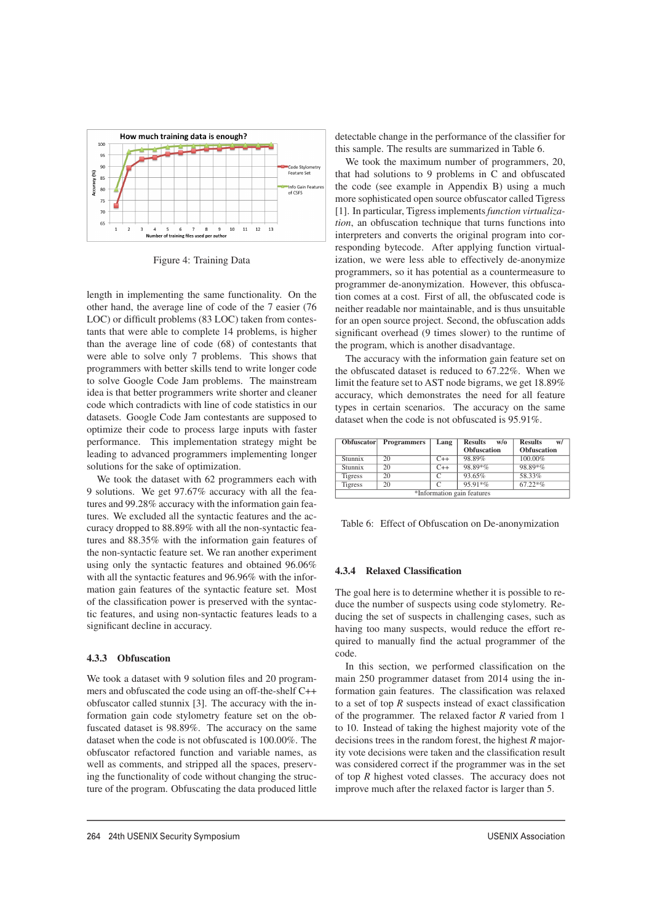

Figure 4: Training Data

length in implementing the same functionality. On the other hand, the average line of code of the 7 easier (76 LOC) or difficult problems (83 LOC) taken from contestants that were able to complete 14 problems, is higher than the average line of code (68) of contestants that were able to solve only 7 problems. This shows that programmers with better skills tend to write longer code to solve Google Code Jam problems. The mainstream idea is that better programmers write shorter and cleaner code which contradicts with line of code statistics in our datasets. Google Code Jam contestants are supposed to optimize their code to process large inputs with faster performance. This implementation strategy might be leading to advanced programmers implementing longer solutions for the sake of optimization.

We took the dataset with 62 programmers each with 9 solutions. We get 97.67% accuracy with all the features and 99.28% accuracy with the information gain features. We excluded all the syntactic features and the accuracy dropped to 88.89% with all the non-syntactic features and 88.35% with the information gain features of the non-syntactic feature set. We ran another experiment using only the syntactic features and obtained 96.06% with all the syntactic features and 96.96% with the information gain features of the syntactic feature set. Most of the classification power is preserved with the syntactic features, and using non-syntactic features leads to a significant decline in accuracy.

#### 4.3.3 Obfuscation

We took a dataset with 9 solution files and 20 programmers and obfuscated the code using an off-the-shelf C++ obfuscator called stunnix [3]. The accuracy with the information gain code stylometry feature set on the obfuscated dataset is 98.89%. The accuracy on the same dataset when the code is not obfuscated is 100.00%. The obfuscator refactored function and variable names, as well as comments, and stripped all the spaces, preserving the functionality of code without changing the structure of the program. Obfuscating the data produced little detectable change in the performance of the classifier for this sample. The results are summarized in Table 6.

We took the maximum number of programmers, 20, that had solutions to 9 problems in C and obfuscated the code (see example in Appendix B) using a much more sophisticated open source obfuscator called Tigress [1]. In particular, Tigress implements*function virtualization*, an obfuscation technique that turns functions into interpreters and converts the original program into corresponding bytecode. After applying function virtualization, we were less able to effectively de-anonymize programmers, so it has potential as a countermeasure to programmer de-anonymization. However, this obfuscation comes at a cost. First of all, the obfuscated code is neither readable nor maintainable, and is thus unsuitable for an open source project. Second, the obfuscation adds significant overhead (9 times slower) to the runtime of the program, which is another disadvantage.

The accuracy with the information gain feature set on the obfuscated dataset is reduced to 67.22%. When we limit the feature set to AST node bigrams, we get 18.89% accuracy, which demonstrates the need for all feature types in certain scenarios. The accuracy on the same dataset when the code is not obfuscated is 95.91%.

| <b>Obfuscator</b>          | <b>Programmers</b> | Lang  | <b>Results</b><br>W/O | <b>Results</b><br>w/ |  |
|----------------------------|--------------------|-------|-----------------------|----------------------|--|
|                            |                    |       | <b>Obfuscation</b>    | <b>Obfuscation</b>   |  |
| Stunnix                    | 20                 | $C++$ | 98.89%                | 100.00%              |  |
| Stunnix                    | 20                 | $C++$ | 98.89*%               | 98.89*%              |  |
| <b>Tigress</b>             | 20                 |       | 93.65%                | 58.33%               |  |
| <b>Tigress</b>             | 20                 |       | $95.91*$ %            | $67.22*%$            |  |
| *Information gain features |                    |       |                       |                      |  |

Table 6: Effect of Obfuscation on De-anonymization

#### 4.3.4 Relaxed Classification

The goal here is to determine whether it is possible to reduce the number of suspects using code stylometry. Reducing the set of suspects in challenging cases, such as having too many suspects, would reduce the effort required to manually find the actual programmer of the code.

In this section, we performed classification on the main 250 programmer dataset from 2014 using the information gain features. The classification was relaxed to a set of top *R* suspects instead of exact classification of the programmer. The relaxed factor *R* varied from 1 to 10. Instead of taking the highest majority vote of the decisions trees in the random forest, the highest *R* majority vote decisions were taken and the classification result was considered correct if the programmer was in the set of top *R* highest voted classes. The accuracy does not improve much after the relaxed factor is larger than 5.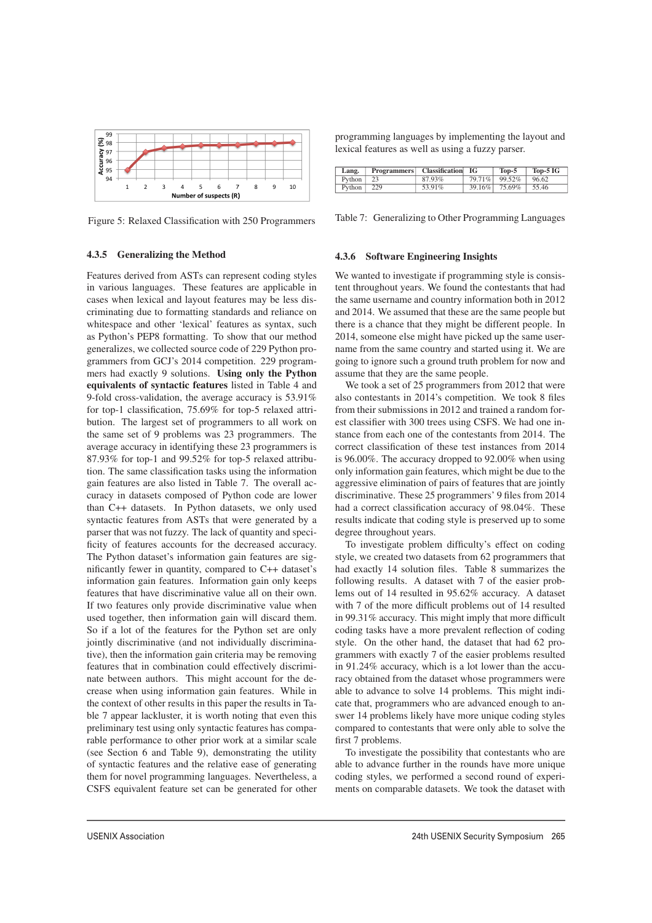

Figure 5: Relaxed Classification with 250 Programmers

#### 4.3.5 Generalizing the Method

Features derived from ASTs can represent coding styles in various languages. These features are applicable in cases when lexical and layout features may be less discriminating due to formatting standards and reliance on whitespace and other 'lexical' features as syntax, such as Python's PEP8 formatting. To show that our method generalizes, we collected source code of 229 Python programmers from GCJ's 2014 competition. 229 programmers had exactly 9 solutions. Using only the Python equivalents of syntactic features listed in Table 4 and 9-fold cross-validation, the average accuracy is 53.91% for top-1 classification, 75.69% for top-5 relaxed attribution. The largest set of programmers to all work on the same set of 9 problems was 23 programmers. The average accuracy in identifying these 23 programmers is 87.93% for top-1 and 99.52% for top-5 relaxed attribution. The same classification tasks using the information gain features are also listed in Table 7. The overall accuracy in datasets composed of Python code are lower than C++ datasets. In Python datasets, we only used syntactic features from ASTs that were generated by a parser that was not fuzzy. The lack of quantity and specificity of features accounts for the decreased accuracy. The Python dataset's information gain features are significantly fewer in quantity, compared to C++ dataset's information gain features. Information gain only keeps features that have discriminative value all on their own. If two features only provide discriminative value when used together, then information gain will discard them. So if a lot of the features for the Python set are only jointly discriminative (and not individually discriminative), then the information gain criteria may be removing features that in combination could effectively discriminate between authors. This might account for the decrease when using information gain features. While in the context of other results in this paper the results in Table 7 appear lackluster, it is worth noting that even this preliminary test using only syntactic features has comparable performance to other prior work at a similar scale (see Section 6 and Table 9), demonstrating the utility of syntactic features and the relative ease of generating them for novel programming languages. Nevertheless, a CSFS equivalent feature set can be generated for other programming languages by implementing the layout and lexical features as well as using a fuzzy parser.

| Lang.         |     | <b>Programmers</b>   Classification | - IG | $Top-5$       | $Top-5 IG$ |
|---------------|-----|-------------------------------------|------|---------------|------------|
| <b>Python</b> |     | 87.93%                              |      | 79.71% 99.52% | 96.62      |
| Python        | 229 | 53.91%                              |      | 39.16% 75.69% | 55.46      |

Table 7: Generalizing to Other Programming Languages

#### 4.3.6 Software Engineering Insights

We wanted to investigate if programming style is consistent throughout years. We found the contestants that had the same username and country information both in 2012 and 2014. We assumed that these are the same people but there is a chance that they might be different people. In 2014, someone else might have picked up the same username from the same country and started using it. We are going to ignore such a ground truth problem for now and assume that they are the same people.

We took a set of 25 programmers from 2012 that were also contestants in 2014's competition. We took 8 files from their submissions in 2012 and trained a random forest classifier with 300 trees using CSFS. We had one instance from each one of the contestants from 2014. The correct classification of these test instances from 2014 is 96.00%. The accuracy dropped to 92.00% when using only information gain features, which might be due to the aggressive elimination of pairs of features that are jointly discriminative. These 25 programmers' 9 files from 2014 had a correct classification accuracy of 98.04%. These results indicate that coding style is preserved up to some degree throughout years.

To investigate problem difficulty's effect on coding style, we created two datasets from 62 programmers that had exactly 14 solution files. Table 8 summarizes the following results. A dataset with 7 of the easier problems out of 14 resulted in 95.62% accuracy. A dataset with 7 of the more difficult problems out of 14 resulted in 99.31% accuracy. This might imply that more difficult coding tasks have a more prevalent reflection of coding style. On the other hand, the dataset that had 62 programmers with exactly 7 of the easier problems resulted in 91.24% accuracy, which is a lot lower than the accuracy obtained from the dataset whose programmers were able to advance to solve 14 problems. This might indicate that, programmers who are advanced enough to answer 14 problems likely have more unique coding styles compared to contestants that were only able to solve the first 7 problems.

To investigate the possibility that contestants who are able to advance further in the rounds have more unique coding styles, we performed a second round of experiments on comparable datasets. We took the dataset with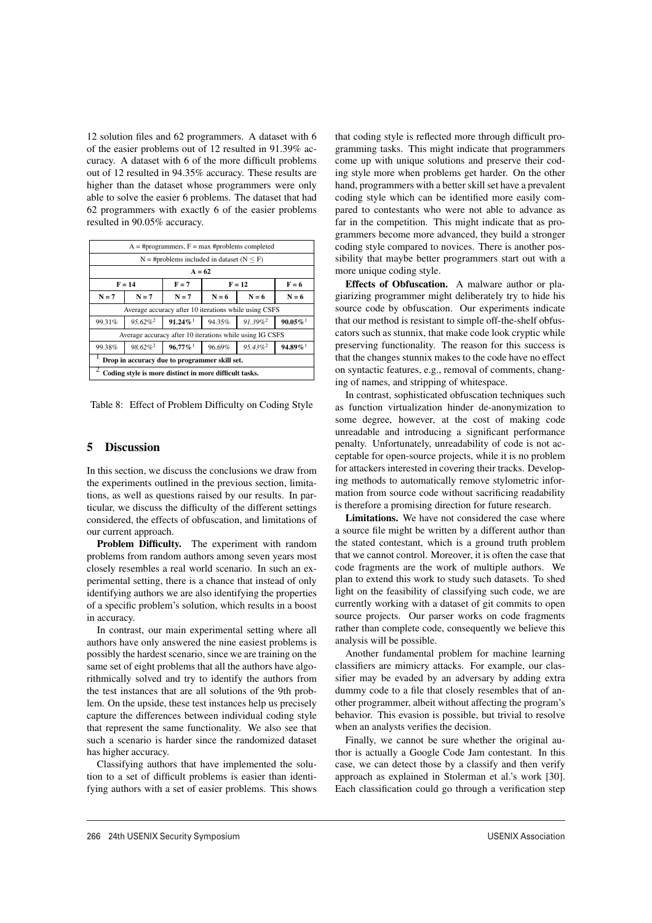12 solution files and 62 programmers. A dataset with 6 of the easier problems out of 12 resulted in 91.39% accuracy. A dataset with 6 of the more difficult problems out of 12 resulted in 94.35% accuracy. These results are higher than the dataset whose programmers were only able to solve the easier 6 problems. The dataset that had 62 programmers with exactly 6 of the easier problems resulted in 90.05% accuracy.

|                                                        | $A = #programmers, F = max #problems completed$                                                                |                                                                         |                               |          |         |  |
|--------------------------------------------------------|----------------------------------------------------------------------------------------------------------------|-------------------------------------------------------------------------|-------------------------------|----------|---------|--|
|                                                        |                                                                                                                | $N = #$ problems included in dataset ( $N \leq F$ )                     |                               |          |         |  |
|                                                        |                                                                                                                | $A = 62$                                                                |                               |          |         |  |
|                                                        | $F = 14$                                                                                                       | $F = 7$                                                                 |                               | $F = 12$ | $F = 6$ |  |
| $N = 7$                                                | $N = 7$                                                                                                        | $N = 7$                                                                 | $N = 6$<br>$N = 6$<br>$N = 6$ |          |         |  |
|                                                        |                                                                                                                | Average accuracy after 10 iterations while using CSFS                   |                               |          |         |  |
| 99.31%                                                 | $95.62\%$ <sup>2</sup>                                                                                         | $91.24\%$<br>$91.39\%$ <sup>2</sup><br>$90.05\%$ <sup>1</sup><br>94.35% |                               |          |         |  |
|                                                        |                                                                                                                | Average accuracy after 10 iterations while using IG CSFS                |                               |          |         |  |
| 99.38%                                                 | $96.77\%$ <sup>1</sup><br>$98.62\%$ <sup>2</sup><br>$95.43\%$ <sup>2</sup><br>$94.89\%$ <sup>1</sup><br>96.69% |                                                                         |                               |          |         |  |
| Drop in accuracy due to programmer skill set.          |                                                                                                                |                                                                         |                               |          |         |  |
| Coding style is more distinct in more difficult tasks. |                                                                                                                |                                                                         |                               |          |         |  |

Table 8: Effect of Problem Difficulty on Coding Style

#### 5 Discussion

In this section, we discuss the conclusions we draw from the experiments outlined in the previous section, limitations, as well as questions raised by our results. In particular, we discuss the difficulty of the different settings considered, the effects of obfuscation, and limitations of our current approach.

Problem Difficulty. The experiment with random problems from random authors among seven years most closely resembles a real world scenario. In such an experimental setting, there is a chance that instead of only identifying authors we are also identifying the properties of a specific problem's solution, which results in a boost in accuracy.

In contrast, our main experimental setting where all authors have only answered the nine easiest problems is possibly the hardest scenario, since we are training on the same set of eight problems that all the authors have algorithmically solved and try to identify the authors from the test instances that are all solutions of the 9th problem. On the upside, these test instances help us precisely capture the differences between individual coding style that represent the same functionality. We also see that such a scenario is harder since the randomized dataset has higher accuracy.

Classifying authors that have implemented the solution to a set of difficult problems is easier than identifying authors with a set of easier problems. This shows

 $\overline{a}$ 

that coding style is reflected more through difficult programming tasks. This might indicate that programmers come up with unique solutions and preserve their coding style more when problems get harder. On the other hand, programmers with a better skill set have a prevalent coding style which can be identified more easily compared to contestants who were not able to advance as far in the competition. This might indicate that as programmers become more advanced, they build a stronger coding style compared to novices. There is another possibility that maybe better programmers start out with a more unique coding style.

Effects of Obfuscation. A malware author or plagiarizing programmer might deliberately try to hide his source code by obfuscation. Our experiments indicate that our method is resistant to simple off-the-shelf obfuscators such as stunnix, that make code look cryptic while preserving functionality. The reason for this success is that the changes stunnix makes to the code have no effect on syntactic features, e.g., removal of comments, changing of names, and stripping of whitespace.

In contrast, sophisticated obfuscation techniques such as function virtualization hinder de-anonymization to some degree, however, at the cost of making code unreadable and introducing a significant performance penalty. Unfortunately, unreadability of code is not acceptable for open-source projects, while it is no problem for attackers interested in covering their tracks. Developing methods to automatically remove stylometric information from source code without sacrificing readability is therefore a promising direction for future research.

Limitations. We have not considered the case where a source file might be written by a different author than the stated contestant, which is a ground truth problem that we cannot control. Moreover, it is often the case that code fragments are the work of multiple authors. We plan to extend this work to study such datasets. To shed light on the feasibility of classifying such code, we are currently working with a dataset of git commits to open source projects. Our parser works on code fragments rather than complete code, consequently we believe this analysis will be possible.

Another fundamental problem for machine learning classifiers are mimicry attacks. For example, our classifier may be evaded by an adversary by adding extra dummy code to a file that closely resembles that of another programmer, albeit without affecting the program's behavior. This evasion is possible, but trivial to resolve when an analysts verifies the decision.

Finally, we cannot be sure whether the original author is actually a Google Code Jam contestant. In this case, we can detect those by a classify and then verify approach as explained in Stolerman et al.'s work [30]. Each classification could go through a verification step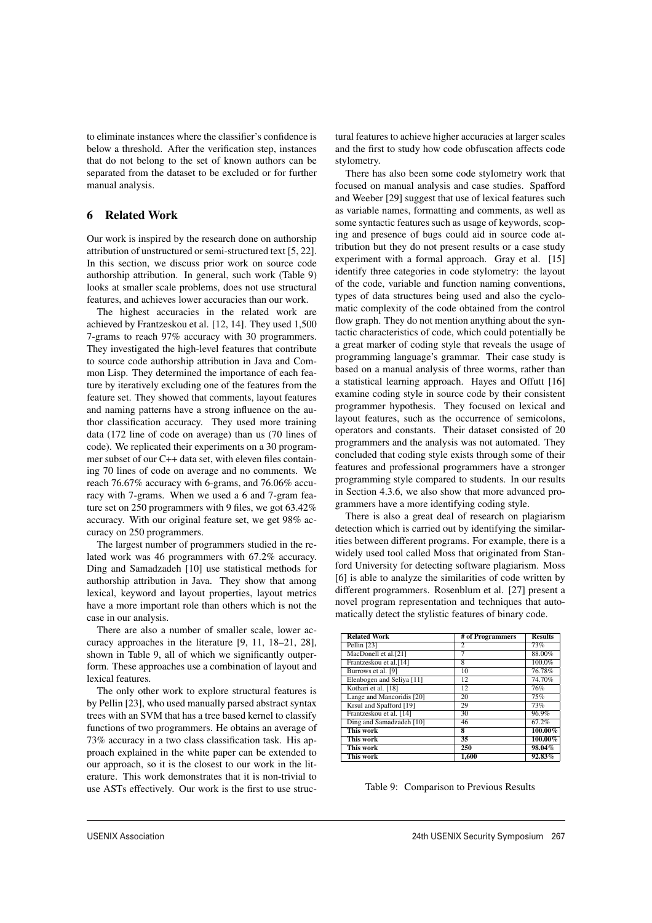to eliminate instances where the classifier's confidence is below a threshold. After the verification step, instances that do not belong to the set of known authors can be separated from the dataset to be excluded or for further manual analysis.

# 6 Related Work

Our work is inspired by the research done on authorship attribution of unstructured or semi-structured text [5, 22]. In this section, we discuss prior work on source code authorship attribution. In general, such work (Table 9) looks at smaller scale problems, does not use structural features, and achieves lower accuracies than our work.

The highest accuracies in the related work are achieved by Frantzeskou et al. [12, 14]. They used 1,500 7-grams to reach 97% accuracy with 30 programmers. They investigated the high-level features that contribute to source code authorship attribution in Java and Common Lisp. They determined the importance of each feature by iteratively excluding one of the features from the feature set. They showed that comments, layout features and naming patterns have a strong influence on the author classification accuracy. They used more training data (172 line of code on average) than us (70 lines of code). We replicated their experiments on a 30 programmer subset of our C++ data set, with eleven files containing 70 lines of code on average and no comments. We reach 76.67% accuracy with 6-grams, and 76.06% accuracy with 7-grams. When we used a 6 and 7-gram feature set on 250 programmers with 9 files, we got 63.42% accuracy. With our original feature set, we get 98% accuracy on 250 programmers.

The largest number of programmers studied in the related work was 46 programmers with 67.2% accuracy. Ding and Samadzadeh [10] use statistical methods for authorship attribution in Java. They show that among lexical, keyword and layout properties, layout metrics have a more important role than others which is not the case in our analysis.

There are also a number of smaller scale, lower accuracy approaches in the literature [9, 11, 18–21, 28], shown in Table 9, all of which we significantly outperform. These approaches use a combination of layout and lexical features.

The only other work to explore structural features is by Pellin [23], who used manually parsed abstract syntax trees with an SVM that has a tree based kernel to classify functions of two programmers. He obtains an average of 73% accuracy in a two class classification task. His approach explained in the white paper can be extended to our approach, so it is the closest to our work in the literature. This work demonstrates that it is non-trivial to use ASTs effectively. Our work is the first to use structural features to achieve higher accuracies at larger scales and the first to study how code obfuscation affects code stylometry.

There has also been some code stylometry work that focused on manual analysis and case studies. Spafford and Weeber [29] suggest that use of lexical features such as variable names, formatting and comments, as well as some syntactic features such as usage of keywords, scoping and presence of bugs could aid in source code attribution but they do not present results or a case study experiment with a formal approach. Gray et al. [15] identify three categories in code stylometry: the layout of the code, variable and function naming conventions, types of data structures being used and also the cyclomatic complexity of the code obtained from the control flow graph. They do not mention anything about the syntactic characteristics of code, which could potentially be a great marker of coding style that reveals the usage of programming language's grammar. Their case study is based on a manual analysis of three worms, rather than a statistical learning approach. Hayes and Offutt [16] examine coding style in source code by their consistent programmer hypothesis. They focused on lexical and layout features, such as the occurrence of semicolons, operators and constants. Their dataset consisted of 20 programmers and the analysis was not automated. They concluded that coding style exists through some of their features and professional programmers have a stronger programming style compared to students. In our results in Section 4.3.6, we also show that more advanced programmers have a more identifying coding style.

There is also a great deal of research on plagiarism detection which is carried out by identifying the similarities between different programs. For example, there is a widely used tool called Moss that originated from Stanford University for detecting software plagiarism. Moss [6] is able to analyze the similarities of code written by different programmers. Rosenblum et al. [27] present a novel program representation and techniques that automatically detect the stylistic features of binary code.

| <b>Related Work</b>       | # of Programmers        | <b>Results</b> |
|---------------------------|-------------------------|----------------|
| Pellin [23]               | 2                       | 73%            |
| MacDonell et al.[21]      | 7                       | 88.00%         |
| Frantzeskou et al.[14]    | 8                       | 100.0%         |
| Burrows et al. [9]        | 10                      | 76.78%         |
| Elenbogen and Seliya [11] | $\overline{12}$         | 74.70%         |
| Kothari et al. [18]       | 12                      | 76%            |
| Lange and Mancoridis [20] | 20                      | 75%            |
| Krsul and Spafford [19]   | 29                      | 73%            |
| Frantzeskou et al. [14]   | 30                      | 96.9%          |
| Ding and Samadzadeh [10]  | 46                      | 67.2%          |
| This work                 | $\overline{\mathbf{8}}$ | $100.00\%$     |
| This work                 | 35                      | $100.00\%$     |
| This work                 | 250                     | 98.04%         |
| This work                 | 1,600                   | 92.83%         |

Table 9: Comparison to Previous Results

 $\overline{1}$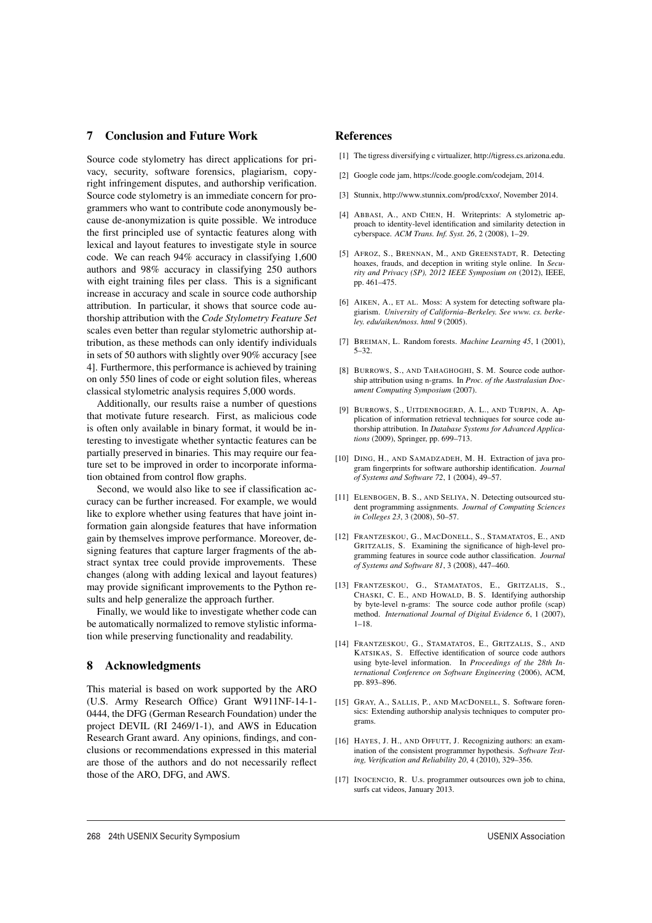## 7 Conclusion and Future Work

Source code stylometry has direct applications for privacy, security, software forensics, plagiarism, copyright infringement disputes, and authorship verification. Source code stylometry is an immediate concern for programmers who want to contribute code anonymously because de-anonymization is quite possible. We introduce the first principled use of syntactic features along with lexical and layout features to investigate style in source code. We can reach 94% accuracy in classifying 1,600 authors and 98% accuracy in classifying 250 authors with eight training files per class. This is a significant increase in accuracy and scale in source code authorship attribution. In particular, it shows that source code authorship attribution with the *Code Stylometry Feature Set* scales even better than regular stylometric authorship attribution, as these methods can only identify individuals in sets of 50 authors with slightly over 90% accuracy [see 4]. Furthermore, this performance is achieved by training on only 550 lines of code or eight solution files, whereas classical stylometric analysis requires 5,000 words.

Additionally, our results raise a number of questions that motivate future research. First, as malicious code is often only available in binary format, it would be interesting to investigate whether syntactic features can be partially preserved in binaries. This may require our feature set to be improved in order to incorporate information obtained from control flow graphs.

Second, we would also like to see if classification accuracy can be further increased. For example, we would like to explore whether using features that have joint information gain alongside features that have information gain by themselves improve performance. Moreover, designing features that capture larger fragments of the abstract syntax tree could provide improvements. These changes (along with adding lexical and layout features) may provide significant improvements to the Python results and help generalize the approach further.

Finally, we would like to investigate whether code can be automatically normalized to remove stylistic information while preserving functionality and readability.

# 8 Acknowledgments

This material is based on work supported by the ARO (U.S. Army Research Office) Grant W911NF-14-1- 0444, the DFG (German Research Foundation) under the project DEVIL (RI 2469/1-1), and AWS in Education Research Grant award. Any opinions, findings, and conclusions or recommendations expressed in this material are those of the authors and do not necessarily reflect those of the ARO, DFG, and AWS.

# References

- [1] The tigress diversifying c virtualizer, http://tigress.cs.arizona.edu.
- [2] Google code jam, https://code.google.com/codejam, 2014.
- [3] Stunnix, http://www.stunnix.com/prod/cxxo/, November 2014.
- [4] ABBASI, A., AND CHEN, H. Writeprints: A stylometric approach to identity-level identification and similarity detection in cyberspace. *ACM Trans. Inf. Syst. 26*, 2 (2008), 1–29.
- [5] AFROZ, S., BRENNAN, M., AND GREENSTADT, R. Detecting hoaxes, frauds, and deception in writing style online. In *Security and Privacy (SP), 2012 IEEE Symposium on* (2012), IEEE, pp. 461–475.
- [6] AIKEN, A., ET AL. Moss: A system for detecting software plagiarism. *University of California–Berkeley. See www. cs. berkeley. edu/aiken/moss. html 9* (2005).
- [7] BREIMAN, L. Random forests. *Machine Learning 45*, 1 (2001), 5–32.
- [8] BURROWS, S., AND TAHAGHOGHI, S. M. Source code authorship attribution using n-grams. In *Proc. of the Australasian Document Computing Symposium* (2007).
- [9] BURROWS, S., UITDENBOGERD, A. L., AND TURPIN, A. Application of information retrieval techniques for source code authorship attribution. In *Database Systems for Advanced Applications* (2009), Springer, pp. 699–713.
- [10] DING, H., AND SAMADZADEH, M. H. Extraction of java program fingerprints for software authorship identification. *Journal of Systems and Software 72*, 1 (2004), 49–57.
- [11] ELENBOGEN, B. S., AND SELIYA, N. Detecting outsourced student programming assignments. *Journal of Computing Sciences in Colleges 23*, 3 (2008), 50–57.
- [12] FRANTZESKOU, G., MACDONELL, S., STAMATATOS, E., AND GRITZALIS, S. Examining the significance of high-level programming features in source code author classification. *Journal of Systems and Software 81*, 3 (2008), 447–460.
- [13] FRANTZESKOU, G., STAMATATOS, E., GRITZALIS, S., CHASKI, C. E., AND HOWALD, B. S. Identifying authorship by byte-level n-grams: The source code author profile (scap) method. *International Journal of Digital Evidence 6*, 1 (2007), 1–18.
- [14] FRANTZESKOU, G., STAMATATOS, E., GRITZALIS, S., AND KATSIKAS, S. Effective identification of source code authors using byte-level information. In *Proceedings of the 28th International Conference on Software Engineering* (2006), ACM, pp. 893–896.
- [15] GRAY, A., SALLIS, P., AND MACDONELL, S. Software forensics: Extending authorship analysis techniques to computer programs.
- [16] HAYES, J. H., AND OFFUTT, J. Recognizing authors: an examination of the consistent programmer hypothesis. *Software Testing, Verification and Reliability 20*, 4 (2010), 329–356.
- [17] INOCENCIO, R. U.s. programmer outsources own job to china, surfs cat videos, January 2013.

 $\overline{1}$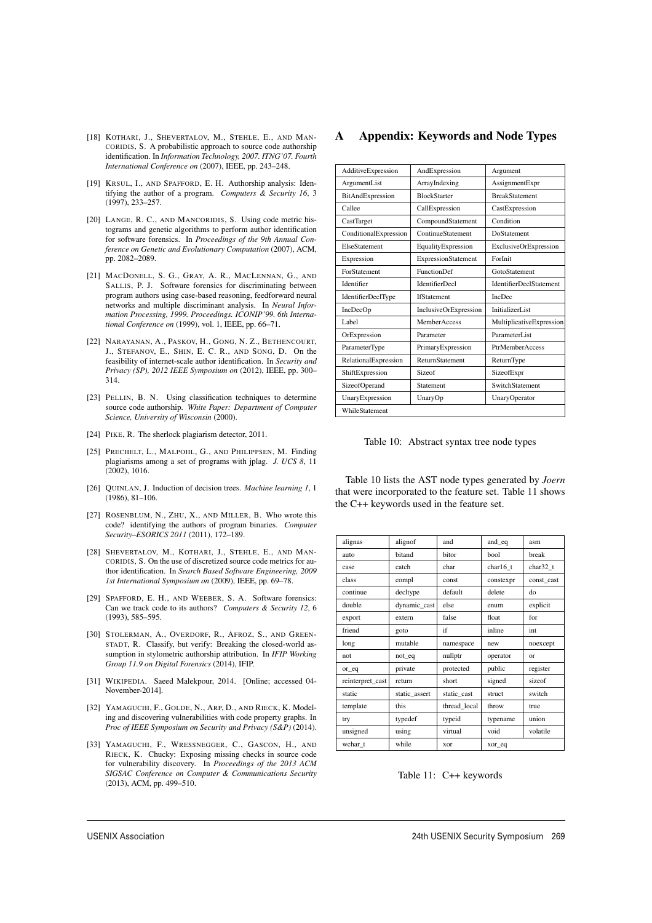- [18] KOTHARI, J., SHEVERTALOV, M., STEHLE, E., AND MAN-CORIDIS, S. A probabilistic approach to source code authorship identification. In *Information Technology, 2007. ITNG'07. Fourth International Conference on* (2007), IEEE, pp. 243–248.
- [19] KRSUL, I., AND SPAFFORD, E. H. Authorship analysis: Identifying the author of a program. *Computers & Security 16*, 3 (1997), 233–257.
- [20] LANGE, R. C., AND MANCORIDIS, S. Using code metric histograms and genetic algorithms to perform author identification for software forensics. In *Proceedings of the 9th Annual Conference on Genetic and Evolutionary Computation* (2007), ACM, pp. 2082–2089.
- [21] MACDONELL, S. G., GRAY, A. R., MACLENNAN, G., AND SALLIS, P. J. Software forensics for discriminating between program authors using case-based reasoning, feedforward neural networks and multiple discriminant analysis. In *Neural Information Processing, 1999. Proceedings. ICONIP'99. 6th International Conference on* (1999), vol. 1, IEEE, pp. 66–71.
- [22] NARAYANAN, A., PASKOV, H., GONG, N. Z., BETHENCOURT, J., STEFANOV, E., SHIN, E. C. R., AND SONG, D. On the feasibility of internet-scale author identification. In *Security and Privacy (SP), 2012 IEEE Symposium on* (2012), IEEE, pp. 300– 314.
- [23] PELLIN, B. N. Using classification techniques to determine source code authorship. *White Paper: Department of Computer Science, University of Wisconsin* (2000).
- [24] PIKE, R. The sherlock plagiarism detector, 2011.
- [25] PRECHELT, L., MALPOHL, G., AND PHILIPPSEN, M. Finding plagiarisms among a set of programs with jplag. *J. UCS 8*, 11 (2002), 1016.
- [26] QUINLAN, J. Induction of decision trees. *Machine learning 1*, 1 (1986), 81–106.
- [27] ROSENBLUM, N., ZHU, X., AND MILLER, B. Who wrote this code? identifying the authors of program binaries. *Computer Security–ESORICS 2011* (2011), 172–189.
- [28] SHEVERTALOV, M., KOTHARI, J., STEHLE, E., AND MAN-CORIDIS, S. On the use of discretized source code metrics for author identification. In *Search Based Software Engineering, 2009 1st International Symposium on* (2009), IEEE, pp. 69–78.
- [29] SPAFFORD, E. H., AND WEEBER, S. A. Software forensics: Can we track code to its authors? *Computers & Security 12*, 6 (1993), 585–595.
- [30] STOLERMAN, A., OVERDORF, R., AFROZ, S., AND GREEN-STADT, R. Classify, but verify: Breaking the closed-world assumption in stylometric authorship attribution. In *IFIP Working Group 11.9 on Digital Forensics* (2014), IFIP.
- [31] WIKIPEDIA. Saeed Malekpour, 2014. [Online; accessed 04- November-2014].
- [32] YAMAGUCHI, F., GOLDE, N., ARP, D., AND RIECK, K. Modeling and discovering vulnerabilities with code property graphs. In *Proc of IEEE Symposium on Security and Privacy (S&P)* (2014).
- [33] YAMAGUCHI, F., WRESSNEGGER, C., GASCON, H., AND RIECK, K. Chucky: Exposing missing checks in source code for vulnerability discovery. In *Proceedings of the 2013 ACM SIGSAC Conference on Computer & Communications Security* (2013), ACM, pp. 499–510.

### A Appendix: Keywords and Node Types

| AdditiveExpression    | AndExpression          | Argument                       |
|-----------------------|------------------------|--------------------------------|
| ArgumentList          | ArrayIndexing          | AssignmentExpr                 |
| BitAndExpression      | <b>BlockStarter</b>    | <b>BreakStatement</b>          |
| Callee                | CallExpression         | CastExpression                 |
| CastTarget            | CompoundStatement      | Condition                      |
| ConditionalExpression | ContinueStatement      | DoStatement                    |
| ElseStatement         | EqualityExpression     | ExclusiveOrExpression          |
| Expression            | ExpressionStatement    | ForInit                        |
| ForStatement          | <b>FunctionDef</b>     | GotoStatement                  |
| Identifier            | <b>IdentifierDecl</b>  | <b>IdentifierDeclStatement</b> |
| IdentifierDeclType    | <b>IfStatement</b>     | <b>IncDec</b>                  |
| IncDecOp              | InclusiveOrExpression  | InitializerList                |
| Label                 | MemberAccess           | MultiplicativeExpression       |
| OrExpression          | Parameter              | ParameterI ist                 |
| ParameterType         | PrimaryExpression      | <b>PtrMemberAccess</b>         |
| RelationalExpression  | <b>ReturnStatement</b> | ReturnType                     |
| ShiftExpression       | Sizeof                 | SizeofExpr                     |
| SizeofOperand         | Statement              | SwitchStatement                |
| UnaryExpression       | UnaryOp                | UnaryOperator                  |
| WhileStatement        |                        |                                |
|                       |                        |                                |

Table 10: Abstract syntax tree node types

Table 10 lists the AST node types generated by *Joern* that were incorporated to the feature set. Table 11 shows the C++ keywords used in the feature set.

| alignas          | alignof       | and          | and_eq    | asm        |
|------------------|---------------|--------------|-----------|------------|
| auto             | bitand        | bitor        | bool      | break      |
| case             | catch         | char         | char16 t  | char32 t   |
| class            | compl         | const        | constexpr | const cast |
| continue         | decltype      | default      | delete    | do         |
| double           | dynamic_cast  | else         | enum      | explicit   |
| export           | extern        | false        | float     | for        |
| friend           | goto          | if           | inline    | int        |
| long             | mutable       | namespace    | new       | noexcept   |
| not              | not_eq        | nullptr      | operator  | or         |
| or_eq            | private       | protected    | public    | register   |
| reinterpret_cast | return        | short        | signed    | sizeof     |
| static           | static assert | static cast  | struct    | switch     |
| template         | this          | thread local | throw     | true       |
| try              | typedef       | typeid       | typename  | union      |
| unsigned         | using         | virtual      | void      | volatile   |
| wchar t          | while         | xor          | xor_eq    |            |
|                  |               |              |           |            |

Table 11: C++ keywords

15